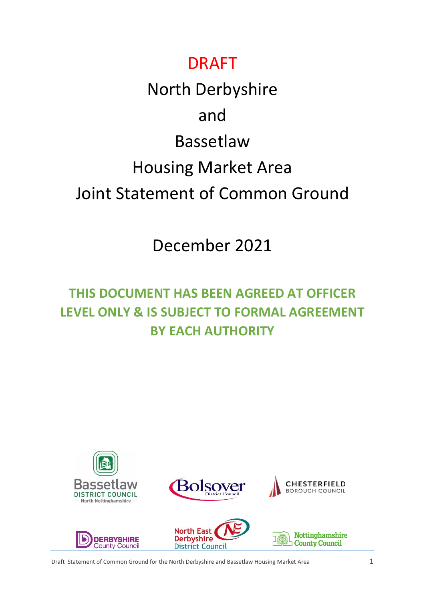## DRAFT

# North Derbyshire and Bassetlaw Housing Market Area Joint Statement of Common Ground

## December 2021

## **THIS DOCUMENT HAS BEEN AGREED AT OFFICER LEVEL ONLY & IS SUBJECT TO FORMAL AGREEMENT BY EACH AUTHORITY**











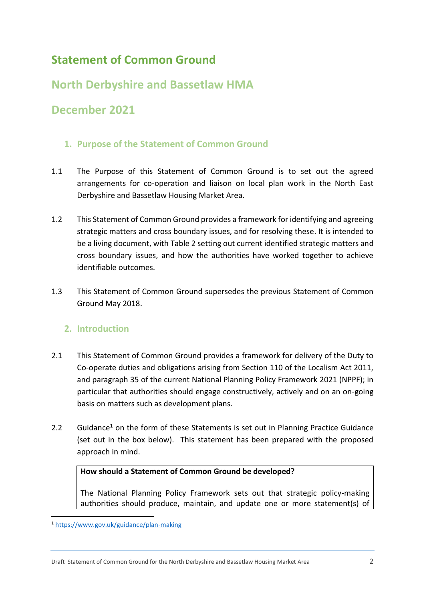### **Statement of Common Ground**

### **North Derbyshire and Bassetlaw HMA**

### **December 2021**

#### **1. Purpose of the Statement of Common Ground**

- 1.1 The Purpose of this Statement of Common Ground is to set out the agreed arrangements for co-operation and liaison on local plan work in the North East Derbyshire and Bassetlaw Housing Market Area.
- 1.2 This Statement of Common Ground provides a framework for identifying and agreeing strategic matters and cross boundary issues, and for resolving these. It is intended to be a living document, with Table 2 setting out current identified strategic matters and cross boundary issues, and how the authorities have worked together to achieve identifiable outcomes.
- 1.3 This Statement of Common Ground supersedes the previous Statement of Common Ground May 2018.

#### **2. Introduction**

- 2.1 This Statement of Common Ground provides a framework for delivery of the Duty to Co-operate duties and obligations arising from Section 110 of the Localism Act 2011, and paragraph 35 of the current National Planning Policy Framework 2021 (NPPF); in particular that authorities should engage constructively, actively and on an on-going basis on matters such as development plans.
- 2.2 Guidance<sup>1</sup> on the form of these Statements is set out in Planning Practice Guidance (set out in the box below). This statement has been prepared with the proposed approach in mind.

#### **How should a Statement of Common Ground be developed?**

The National Planning Policy Framework sets out that strategic policy-making authorities should produce, maintain, and update one or more statement(s) of

**.** 

<sup>1</sup> <https://www.gov.uk/guidance/plan-making>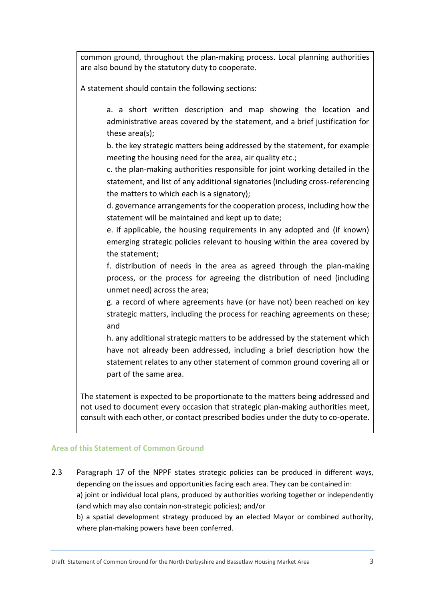common ground, throughout the plan-making process. Local planning authorities are also bound by the statutory duty to cooperate.

A statement should contain the following sections:

a. a short written description and map showing the location and administrative areas covered by the statement, and a brief justification for these area(s);

b. the key strategic matters being addressed by the statement, for example meeting the housing need for the area, air quality etc.;

c. the plan-making authorities responsible for joint working detailed in the statement, and list of any additional signatories (including cross-referencing the matters to which each is a signatory);

d. governance arrangements for the cooperation process, including how the statement will be maintained and kept up to date;

e. if applicable, the housing requirements in any adopted and (if known) emerging strategic policies relevant to housing within the area covered by the statement;

f. distribution of needs in the area as agreed through the plan-making process, or the process for agreeing the distribution of need (including unmet need) across the area;

g. a record of where agreements have (or have not) been reached on key strategic matters, including the process for reaching agreements on these; and

h. any additional strategic matters to be addressed by the statement which have not already been addressed, including a brief description how the statement relates to any other statement of common ground covering all or part of the same area.

The statement is expected to be proportionate to the matters being addressed and not used to document every occasion that strategic plan-making authorities meet, consult with each other, or contact prescribed bodies under the duty to co-operate.

#### **Area of this Statement of Common Ground**

2.3 Paragraph 17 of the NPPF states strategic policies can be produced in different ways, depending on the issues and opportunities facing each area. They can be contained in: a) joint or individual local plans, produced by authorities working together or independently (and which may also contain non-strategic policies); and/or b) a spatial development strategy produced by an elected Mayor or combined authority,

where plan-making powers have been conferred.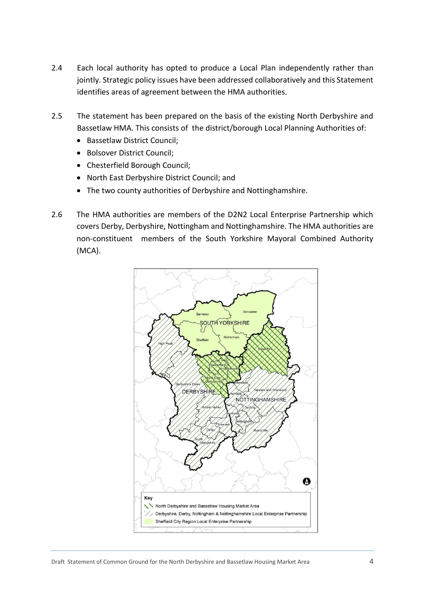- 2.4 Each local authority has opted to produce a Local Plan independently rather than jointly. Strategic policy issues have been addressed collaboratively and this Statement identifies areas of agreement between the HMA authorities.
- 2.5 The statement has been prepared on the basis of the existing North Derbyshire and Bassetlaw HMA. This consists of the district/borough Local Planning Authorities of:
	- Bassetlaw District Council;
	- Bolsover District Council;
	- Chesterfield Borough Council;
	- North East Derbyshire District Council; and
	- The two county authorities of Derbyshire and Nottinghamshire.
- 2.6 The HMA authorities are members of the D2N2 Local Enterprise Partnership which covers Derby, Derbyshire, Nottingham and Nottinghamshire. The HMA authorities are non-constituent members of the South Yorkshire Mayoral Combined Authority (MCA).

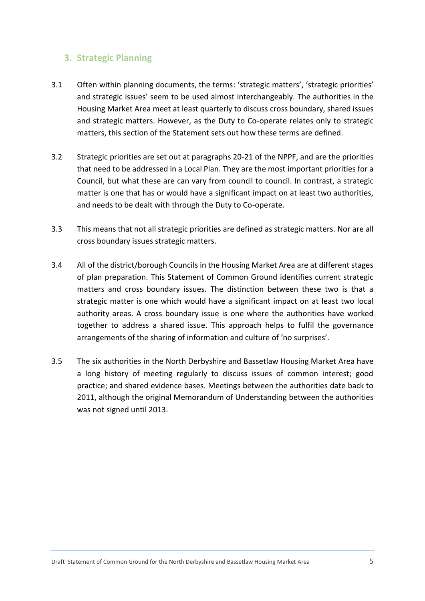#### **3. Strategic Planning**

- 3.1 Often within planning documents, the terms: 'strategic matters', 'strategic priorities' and strategic issues' seem to be used almost interchangeably. The authorities in the Housing Market Area meet at least quarterly to discuss cross boundary, shared issues and strategic matters. However, as the Duty to Co-operate relates only to strategic matters, this section of the Statement sets out how these terms are defined.
- 3.2 Strategic priorities are set out at paragraphs 20-21 of the NPPF, and are the priorities that need to be addressed in a Local Plan. They are the most important priorities for a Council, but what these are can vary from council to council. In contrast, a strategic matter is one that has or would have a significant impact on at least two authorities, and needs to be dealt with through the Duty to Co-operate.
- 3.3 This means that not all strategic priorities are defined as strategic matters. Nor are all cross boundary issues strategic matters.
- 3.4 All of the district/borough Councils in the Housing Market Area are at different stages of plan preparation. This Statement of Common Ground identifies current strategic matters and cross boundary issues. The distinction between these two is that a strategic matter is one which would have a significant impact on at least two local authority areas. A cross boundary issue is one where the authorities have worked together to address a shared issue. This approach helps to fulfil the governance arrangements of the sharing of information and culture of 'no surprises'.
- 3.5 The six authorities in the North Derbyshire and Bassetlaw Housing Market Area have a long history of meeting regularly to discuss issues of common interest; good practice; and shared evidence bases. Meetings between the authorities date back to 2011, although the original Memorandum of Understanding between the authorities was not signed until 2013.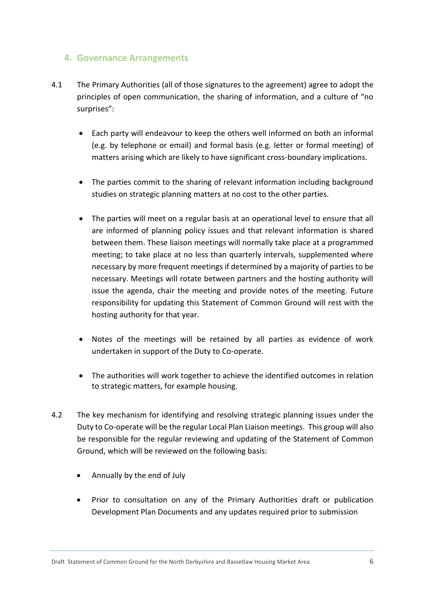#### **4. Governance Arrangements**

- 4.1 The Primary Authorities (all of those signatures to the agreement) agree to adopt the principles of open communication, the sharing of information, and a culture of "no surprises":
	- Each party will endeavour to keep the others well informed on both an informal (e.g. by telephone or email) and formal basis (e.g. letter or formal meeting) of matters arising which are likely to have significant cross-boundary implications.
	- The parties commit to the sharing of relevant information including background studies on strategic planning matters at no cost to the other parties.
	- The parties will meet on a regular basis at an operational level to ensure that all are informed of planning policy issues and that relevant information is shared between them. These liaison meetings will normally take place at a programmed meeting; to take place at no less than quarterly intervals, supplemented where necessary by more frequent meetings if determined by a majority of parties to be necessary. Meetings will rotate between partners and the hosting authority will issue the agenda, chair the meeting and provide notes of the meeting. Future responsibility for updating this Statement of Common Ground will rest with the hosting authority for that year.
	- Notes of the meetings will be retained by all parties as evidence of work undertaken in support of the Duty to Co-operate.
	- The authorities will work together to achieve the identified outcomes in relation to strategic matters, for example housing.
- 4.2 The key mechanism for identifying and resolving strategic planning issues under the Duty to Co-operate will be the regular Local Plan Liaison meetings. This group will also be responsible for the regular reviewing and updating of the Statement of Common Ground, which will be reviewed on the following basis:
	- Annually by the end of July
	- Prior to consultation on any of the Primary Authorities draft or publication Development Plan Documents and any updates required prior to submission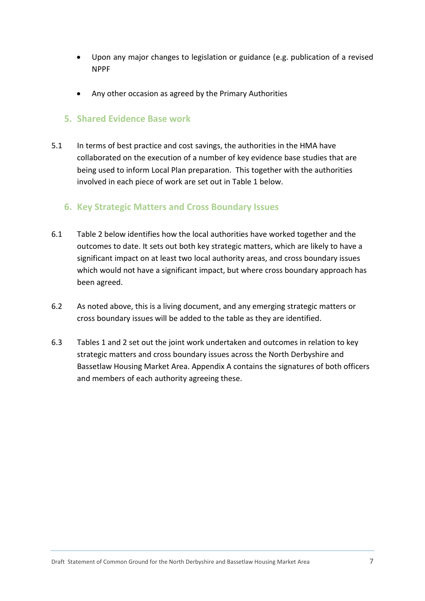- Upon any major changes to legislation or guidance (e.g. publication of a revised NPPF
- Any other occasion as agreed by the Primary Authorities

#### **5. Shared Evidence Base work**

5.1 In terms of best practice and cost savings, the authorities in the HMA have collaborated on the execution of a number of key evidence base studies that are being used to inform Local Plan preparation. This together with the authorities involved in each piece of work are set out in Table 1 below.

#### **6. Key Strategic Matters and Cross Boundary Issues**

- 6.1 Table 2 below identifies how the local authorities have worked together and the outcomes to date. It sets out both key strategic matters, which are likely to have a significant impact on at least two local authority areas, and cross boundary issues which would not have a significant impact, but where cross boundary approach has been agreed.
- 6.2 As noted above, this is a living document, and any emerging strategic matters or cross boundary issues will be added to the table as they are identified.
- 6.3 Tables 1 and 2 set out the joint work undertaken and outcomes in relation to key strategic matters and cross boundary issues across the North Derbyshire and Bassetlaw Housing Market Area. Appendix A contains the signatures of both officers and members of each authority agreeing these.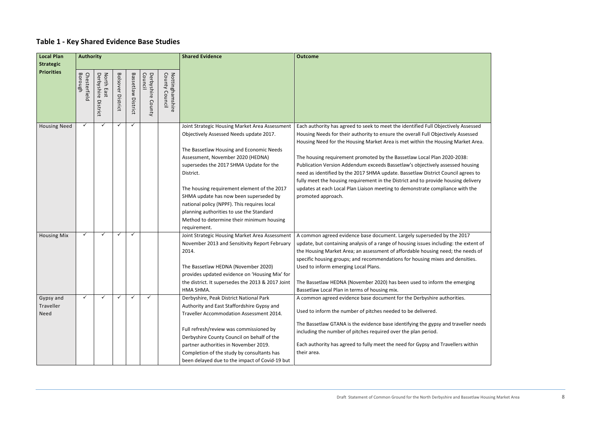## **Table 1 - Key Shared Evidence Base Studies**

| <b>Local Plan</b>   | <b>Authority</b>        |                                                             |                          |                       |                                 |                                      | <b>Shared Evidence</b>                                                                                                                                                                                                                                                                                                                                                                                                                                                              | <b>Outcome</b>                                                                                                                                                                                                                                                                                                                                                                                                                                                                                                                                                                                                                                                                                          |  |  |
|---------------------|-------------------------|-------------------------------------------------------------|--------------------------|-----------------------|---------------------------------|--------------------------------------|-------------------------------------------------------------------------------------------------------------------------------------------------------------------------------------------------------------------------------------------------------------------------------------------------------------------------------------------------------------------------------------------------------------------------------------------------------------------------------------|---------------------------------------------------------------------------------------------------------------------------------------------------------------------------------------------------------------------------------------------------------------------------------------------------------------------------------------------------------------------------------------------------------------------------------------------------------------------------------------------------------------------------------------------------------------------------------------------------------------------------------------------------------------------------------------------------------|--|--|
| <b>Strategic</b>    |                         |                                                             |                          |                       |                                 |                                      |                                                                                                                                                                                                                                                                                                                                                                                                                                                                                     |                                                                                                                                                                                                                                                                                                                                                                                                                                                                                                                                                                                                                                                                                                         |  |  |
| <b>Priorities</b>   | Borough<br>Chesterfield | Derbyshire<br>North<br>$\blacksquare$<br>മ<br>S<br>District | <b>Bolsover District</b> | Bassetlaw<br>District | Council<br>Derbyshire<br>County | County<br>Nottinghamshire<br>Council |                                                                                                                                                                                                                                                                                                                                                                                                                                                                                     |                                                                                                                                                                                                                                                                                                                                                                                                                                                                                                                                                                                                                                                                                                         |  |  |
| <b>Housing Need</b> | $\checkmark$            |                                                             | $\checkmark$             | ✓                     |                                 |                                      | Joint Strategic Housing Market Area Assessment<br>Objectively Assessed Needs update 2017.<br>The Bassetlaw Housing and Economic Needs<br>Assessment, November 2020 (HEDNA)<br>supersedes the 2017 SHMA Update for the<br>District.<br>The housing requirement element of the 2017<br>SHMA update has now been superseded by<br>national policy (NPPF). This requires local<br>planning authorities to use the Standard<br>Method to determine their minimum housing<br>requirement. | Each authority has agreed to seek to meet the identified Full Objectively Assessed<br>Housing Needs for their authority to ensure the overall Full Objectively Assessed<br>Housing Need for the Housing Market Area is met within the Housing Market Area.<br>The housing requirement promoted by the Bassetlaw Local Plan 2020-2038:<br>Publication Version Addendum exceeds Bassetlaw's objectively assessed housing<br>need as identified by the 2017 SHMA update. Bassetlaw District Council agrees to<br>fully meet the housing requirement in the District and to provide housing delivery<br>updates at each Local Plan Liaison meeting to demonstrate compliance with the<br>promoted approach. |  |  |
| <b>Housing Mix</b>  | $\checkmark$            | ✓                                                           | ✓                        | $\checkmark$          |                                 |                                      | Joint Strategic Housing Market Area Assessment<br>November 2013 and Sensitivity Report February<br>2014.<br>The Bassetlaw HEDNA (November 2020)<br>provides updated evidence on 'Housing Mix' for<br>the district. It supersedes the 2013 & 2017 Joint<br>HMA SHMA.                                                                                                                                                                                                                 | A common agreed evidence base document. Largely superseded by the 2017<br>update, but containing analysis of a range of housing issues including: the extent of<br>the Housing Market Area; an assessment of affordable housing need; the needs of<br>specific housing groups; and recommendations for housing mixes and densities.<br>Used to inform emerging Local Plans.<br>The Bassetlaw HEDNA (November 2020) has been used to inform the emerging<br>Bassetlaw Local Plan in terms of housing mix.                                                                                                                                                                                                |  |  |
| Gypsy and           | $\checkmark$            |                                                             | ✓                        | $\checkmark$          | $\checkmark$                    |                                      | Derbyshire, Peak District National Park                                                                                                                                                                                                                                                                                                                                                                                                                                             | A common agreed evidence base document for the Derbyshire authorities.                                                                                                                                                                                                                                                                                                                                                                                                                                                                                                                                                                                                                                  |  |  |
| Traveller<br>Need   |                         |                                                             |                          |                       |                                 |                                      | Authority and East Staffordshire Gypsy and<br>Traveller Accommodation Assessment 2014.                                                                                                                                                                                                                                                                                                                                                                                              | Used to inform the number of pitches needed to be delivered.<br>The Bassetlaw GTANA is the evidence base identifying the gypsy and traveller needs                                                                                                                                                                                                                                                                                                                                                                                                                                                                                                                                                      |  |  |
|                     |                         |                                                             |                          |                       |                                 |                                      | Full refresh/review was commissioned by<br>Derbyshire County Council on behalf of the                                                                                                                                                                                                                                                                                                                                                                                               | including the number of pitches required over the plan period.                                                                                                                                                                                                                                                                                                                                                                                                                                                                                                                                                                                                                                          |  |  |
|                     |                         |                                                             |                          |                       |                                 |                                      | partner authorities in November 2019.                                                                                                                                                                                                                                                                                                                                                                                                                                               | Each authority has agreed to fully meet the need for Gypsy and Travellers within                                                                                                                                                                                                                                                                                                                                                                                                                                                                                                                                                                                                                        |  |  |
|                     |                         |                                                             |                          |                       |                                 |                                      | Completion of the study by consultants has<br>been delayed due to the impact of Covid-19 but                                                                                                                                                                                                                                                                                                                                                                                        | their area.                                                                                                                                                                                                                                                                                                                                                                                                                                                                                                                                                                                                                                                                                             |  |  |

| ely Assessed    |
|-----------------|
| ly Assessed     |
|                 |
| Market Area.    |
|                 |
| $-2038:$        |
| sed housing     |
| cil agrees to   |
| sing delivery   |
| ce with the     |
|                 |
|                 |
|                 |
|                 |
|                 |
|                 |
|                 |
|                 |
| he 2017         |
| : the extent of |
| the needs of    |
| d densities.    |
|                 |
|                 |
|                 |
| emerging        |
|                 |
| rities.         |
|                 |
|                 |
|                 |
| traveller needs |
|                 |
|                 |
| llers within    |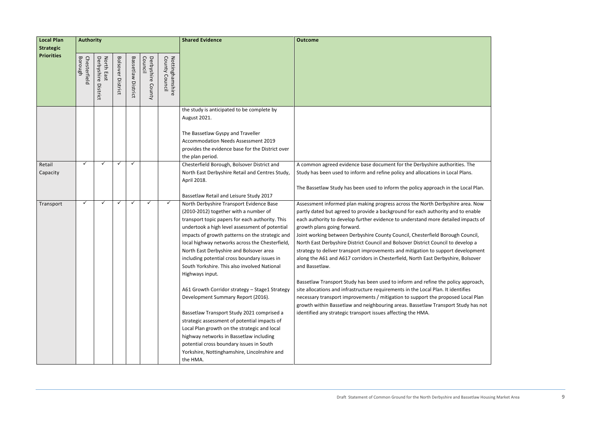| rities. The<br>cal Plans.                        |  |
|--------------------------------------------------|--|
| the Local Plan.                                  |  |
| ire area. Now<br>nd to enable<br>iled impacts of |  |
| ugh Council,<br>o develop a                      |  |
| t development<br>ire, Bolsover                   |  |
| licy approach,<br>dentifies                      |  |
| sed Local Plan<br>rt Study has not               |  |
|                                                  |  |
|                                                  |  |
|                                                  |  |

| <b>Local Plan</b><br><b>Strategic</b> | <b>Authority</b>        |                                      |                             |                    |                                 |                                   | <b>Shared Evidence</b>                                                                                                                                                                                                                                                                                                                                                                                                                                     | <b>Outcome</b>                                                                                                                                                                                                                                                                                                                                                                                                                                                                                                                                                                                                                                           |  |  |
|---------------------------------------|-------------------------|--------------------------------------|-----------------------------|--------------------|---------------------------------|-----------------------------------|------------------------------------------------------------------------------------------------------------------------------------------------------------------------------------------------------------------------------------------------------------------------------------------------------------------------------------------------------------------------------------------------------------------------------------------------------------|----------------------------------------------------------------------------------------------------------------------------------------------------------------------------------------------------------------------------------------------------------------------------------------------------------------------------------------------------------------------------------------------------------------------------------------------------------------------------------------------------------------------------------------------------------------------------------------------------------------------------------------------------------|--|--|
| <b>Priorities</b>                     | Borough<br>Chesterfield | North East<br>Derbyshire<br>District | <b>Bolsover</b><br>District | Bassetlaw District | Derbyshire<br>Council<br>County | Nottinghamshire<br>County Council |                                                                                                                                                                                                                                                                                                                                                                                                                                                            |                                                                                                                                                                                                                                                                                                                                                                                                                                                                                                                                                                                                                                                          |  |  |
|                                       |                         |                                      |                             |                    |                                 |                                   | the study is anticipated to be complete by<br>August 2021.<br>The Bassetlaw Gyspy and Traveller<br>Accommodation Needs Assessment 2019<br>provides the evidence base for the District over<br>the plan period.                                                                                                                                                                                                                                             |                                                                                                                                                                                                                                                                                                                                                                                                                                                                                                                                                                                                                                                          |  |  |
| Retail<br>Capacity                    | ✓                       | ✓                                    |                             | $\checkmark$       |                                 |                                   | Chesterfield Borough, Bolsover District and<br>North East Derbyshire Retail and Centres Study,<br>April 2018.<br>Bassetlaw Retail and Leisure Study 2017                                                                                                                                                                                                                                                                                                   | A common agreed evidence base document for the Derbyshire authorities. The<br>Study has been used to inform and refine policy and allocations in Local Plans.<br>The Bassetlaw Study has been used to inform the policy approach in the Local Plan.                                                                                                                                                                                                                                                                                                                                                                                                      |  |  |
| Transport                             | ✓                       | ✓                                    |                             | $\checkmark$       | $\checkmark$                    | $\checkmark$                      | North Derbyshire Transport Evidence Base<br>(2010-2012) together with a number of<br>transport topic papers for each authority. This<br>undertook a high level assessment of potential<br>impacts of growth patterns on the strategic and<br>local highway networks across the Chesterfield,<br>North East Derbyshire and Bolsover area<br>including potential cross boundary issues in<br>South Yorkshire. This also involved National<br>Highways input. | Assessment informed plan making progress across the North Derbyshire area. Now<br>partly dated but agreed to provide a background for each authority and to enable<br>each authority to develop further evidence to understand more detailed impacts of<br>growth plans going forward.<br>Joint working between Derbyshire County Council, Chesterfield Borough Council,<br>North East Derbyshire District Council and Bolsover District Council to develop a<br>strategy to deliver transport improvements and mitigation to support development<br>along the A61 and A617 corridors in Chesterfield, North East Derbyshire, Bolsover<br>and Bassetlaw. |  |  |
|                                       |                         |                                      |                             |                    |                                 |                                   | A61 Growth Corridor strategy - Stage1 Strategy<br>Development Summary Report (2016).<br>Bassetlaw Transport Study 2021 comprised a<br>strategic assessment of potential impacts of<br>Local Plan growth on the strategic and local<br>highway networks in Bassetlaw including<br>potential cross boundary issues in South<br>Yorkshire, Nottinghamshire, Lincolnshire and<br>the HMA.                                                                      | Bassetlaw Transport Study has been used to inform and refine the policy approach,<br>site allocations and infrastructure requirements in the Local Plan. It identifies<br>necessary transport improvements / mitigation to support the proposed Local Plan<br>growth within Bassetlaw and neighbouring areas. Bassetlaw Transport Study has not<br>identified any strategic transport issues affecting the HMA.                                                                                                                                                                                                                                          |  |  |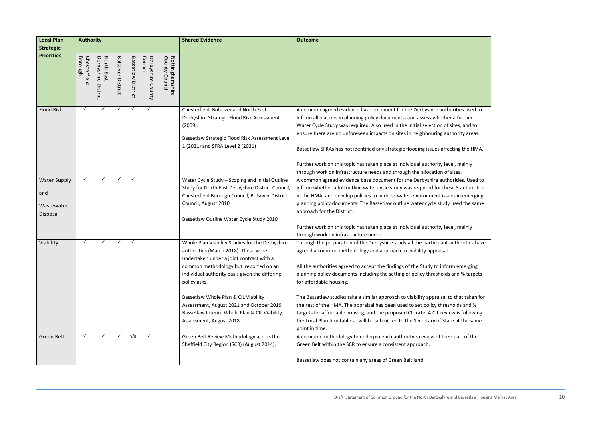| <b>Local Plan</b>          | <b>Authority</b>        |                                                              |                   | <b>Shared Evidence</b> | <b>Outcome</b>                  |                                      |                                                                                                                                                         |                                                                                                                                                                                                                                                            |
|----------------------------|-------------------------|--------------------------------------------------------------|-------------------|------------------------|---------------------------------|--------------------------------------|---------------------------------------------------------------------------------------------------------------------------------------------------------|------------------------------------------------------------------------------------------------------------------------------------------------------------------------------------------------------------------------------------------------------------|
| <b>Strategic</b>           |                         |                                                              |                   |                        |                                 |                                      |                                                                                                                                                         |                                                                                                                                                                                                                                                            |
| <b>Priorities</b>          | Borough<br>Chesterfield | Derbyshire<br>North<br>$\blacksquare$<br>മ<br>Ω.<br>District | Bolsover District | Bassetlaw<br>District  | Derbyshire<br>Council<br>County | Nottinghamshire<br>County<br>Council |                                                                                                                                                         |                                                                                                                                                                                                                                                            |
| <b>Flood Risk</b>          | $\checkmark$            |                                                              | ✓                 | ✓                      |                                 |                                      | Chesterfield, Bolsover and North East                                                                                                                   | A common agreed evidence base document for the Derbyshire authorities used to:                                                                                                                                                                             |
|                            |                         |                                                              |                   |                        |                                 |                                      | Derbyshire Strategic Flood Risk Assessment                                                                                                              | inform allocations in planning policy documents; and assess whether a further                                                                                                                                                                              |
|                            |                         |                                                              |                   |                        |                                 |                                      | (2009).                                                                                                                                                 | Water Cycle Study was required. Also used in the initial selection of sites, and to                                                                                                                                                                        |
|                            |                         |                                                              |                   |                        |                                 |                                      |                                                                                                                                                         | ensure there are no unforeseen impacts on sites in neighbouring authority areas.                                                                                                                                                                           |
|                            |                         |                                                              |                   |                        |                                 |                                      | Bassetlaw Strategic Flood Risk Assessment Level                                                                                                         |                                                                                                                                                                                                                                                            |
|                            |                         |                                                              |                   |                        |                                 |                                      | 1 (2021) and SFRA Level 2 (2021)                                                                                                                        | Bassetlaw SFRAs has not identified any strategic flooding issues affecting the HMA.                                                                                                                                                                        |
|                            |                         |                                                              |                   |                        |                                 |                                      |                                                                                                                                                         | Further work on this topic has taken place at individual authority level, mainly                                                                                                                                                                           |
|                            |                         |                                                              |                   |                        |                                 |                                      |                                                                                                                                                         | through work on infrastructure needs and through the allocation of sites.                                                                                                                                                                                  |
| <b>Water Supply</b><br>and | $\checkmark$            |                                                              | $\checkmark$      | $\checkmark$           |                                 |                                      | Water Cycle Study - Scoping and Initial Outline<br>Study for North East Derbyshire District Council,<br>Chesterfield Borough Council, Bolsover District | A common agreed evidence base document for the Derbyshire authorities. Used to<br>inform whether a full outline water cycle study was required for these 3 authorities<br>in the HMA, and develop policies to address water environment issues in emerging |
| Wastewater<br>Disposal     |                         |                                                              |                   |                        |                                 |                                      | Council, August 2010                                                                                                                                    | planning policy documents. The Bassetlaw outline water cycle study used the same<br>approach for the District.                                                                                                                                             |
|                            |                         |                                                              |                   |                        |                                 |                                      | Bassetlaw Outline Water Cycle Study 2010                                                                                                                |                                                                                                                                                                                                                                                            |
|                            |                         |                                                              |                   |                        |                                 |                                      |                                                                                                                                                         | Further work on this topic has taken place at individual authority level, mainly<br>through work on infrastructure needs.                                                                                                                                  |
| Viability                  | ✓                       |                                                              | ✓                 | ✓                      |                                 |                                      | Whole Plan Viability Studies for the Derbyshire<br>authorities (March 2018). These were<br>undertaken under a joint contract with a                     | Through the preparation of the Derbyshire study all the participant authorities have<br>agreed a common methodology and approach to viability appraisal.                                                                                                   |
|                            |                         |                                                              |                   |                        |                                 |                                      | common methodology but reported on an                                                                                                                   | All the authorities agreed to accept the findings of the Study to inform emerging                                                                                                                                                                          |
|                            |                         |                                                              |                   |                        |                                 |                                      | individual authority basis given the differing<br>policy asks.                                                                                          | planning policy documents including the setting of policy thresholds and % targets<br>for affordable housing.                                                                                                                                              |
|                            |                         |                                                              |                   |                        |                                 |                                      | Bassetlaw Whole Plan & CIL Viability                                                                                                                    | The Bassetlaw studies take a similar approach to viability appraisal to that taken for                                                                                                                                                                     |
|                            |                         |                                                              |                   |                        |                                 |                                      | Assessment, August 2021 and October 2019                                                                                                                | the rest of the HMA. The appraisal has been used to set policy thresholds and %                                                                                                                                                                            |
|                            |                         |                                                              |                   |                        |                                 |                                      | Bassetlaw Interim Whole Plan & CIL Viability<br>Assessment, August 2018                                                                                 | targets for affordable housing, and the proposed CIL rate. A CIL review is following<br>the Local Plan timetable so will be submitted to the Secretary of State at the same                                                                                |
|                            |                         |                                                              |                   |                        |                                 |                                      |                                                                                                                                                         | point in time.                                                                                                                                                                                                                                             |
| Green Belt                 | ✓                       |                                                              |                   | n/a                    |                                 |                                      | Green Belt Review Methodology across the                                                                                                                | A common methodology to underpin each authority's review of their part of the                                                                                                                                                                              |
|                            |                         |                                                              |                   |                        |                                 |                                      | Sheffield City Region (SCR) (August 2014).                                                                                                              | Green Belt within the SCR to ensure a consistent approach.                                                                                                                                                                                                 |
|                            |                         |                                                              |                   |                        |                                 |                                      |                                                                                                                                                         | Bassetlaw does not contain any areas of Green Belt land.                                                                                                                                                                                                   |

| rities used to:<br>a further |
|------------------------------|
| tes, and to                  |
| ority areas.                 |
|                              |
| ing the HMA.                 |
| l, mainly                    |
| tes.                         |
| rities. Used to              |
| 3 authorities                |
| s in emerging                |
| sed the same                 |
|                              |
| l, mainly                    |
| thorities have               |
|                              |
|                              |
| า emerging                   |
| nd % targets                 |
|                              |
| that taken for               |
| olds and %                   |
| v is following               |
| at the same                  |
| part of the                  |
|                              |
|                              |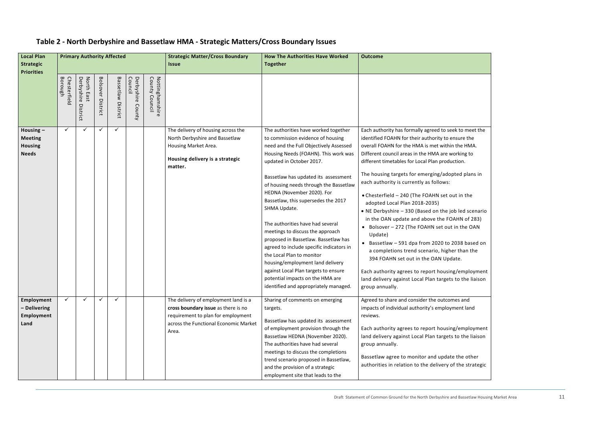## **Table 2 - North Derbyshire and Bassetlaw HMA - Strategic Matters/Cross Boundary Issues**

| ek to meet the<br>nsure the<br>า the HMA.<br>orking to<br>ction. |  |
|------------------------------------------------------------------|--|
| oted plans in                                                    |  |
| ut in the                                                        |  |
| bb led scenario<br>AHN of 283)<br>in the OAN                     |  |
| 2038 based on<br>er than the<br>ate.                             |  |
| g/employment<br>to the liaison                                   |  |
| nes and<br>ment land                                             |  |
| g/employment<br>to the liaison                                   |  |
| e the other<br>of the strategic                                  |  |

| Local Plan<br>Strategic                                         |                         | <b>Primary Authority Affected</b>    |                             |                       |                                 |                                      | <b>Strategic Matter/Cross Boundary</b><br><b>Issue</b>                                                                                                              | <b>How The Authorities Have Worked</b><br><b>Together</b>                                                                                                                                                                                                                                                                                                                                                                                                                                                                                                                                                                                                                                                        | <b>Outcome</b>                                                                                                                                                                                                                                                                                                                                                                                                                                                                                                                                                                                                                                                                                                                                                                                                                                                                                                     |
|-----------------------------------------------------------------|-------------------------|--------------------------------------|-----------------------------|-----------------------|---------------------------------|--------------------------------------|---------------------------------------------------------------------------------------------------------------------------------------------------------------------|------------------------------------------------------------------------------------------------------------------------------------------------------------------------------------------------------------------------------------------------------------------------------------------------------------------------------------------------------------------------------------------------------------------------------------------------------------------------------------------------------------------------------------------------------------------------------------------------------------------------------------------------------------------------------------------------------------------|--------------------------------------------------------------------------------------------------------------------------------------------------------------------------------------------------------------------------------------------------------------------------------------------------------------------------------------------------------------------------------------------------------------------------------------------------------------------------------------------------------------------------------------------------------------------------------------------------------------------------------------------------------------------------------------------------------------------------------------------------------------------------------------------------------------------------------------------------------------------------------------------------------------------|
| <b>Priorities</b>                                               | Borough<br>Chesterfield | Derbyshire<br>North East<br>District | <b>Bolsover</b><br>District | Bassetlaw<br>District | Council<br>Derbyshire<br>County | County<br>Nottinghamshire<br>Council |                                                                                                                                                                     |                                                                                                                                                                                                                                                                                                                                                                                                                                                                                                                                                                                                                                                                                                                  |                                                                                                                                                                                                                                                                                                                                                                                                                                                                                                                                                                                                                                                                                                                                                                                                                                                                                                                    |
| Housing $-$<br><b>Meeting</b><br><b>Housing</b><br><b>Needs</b> | $\checkmark$            | $\checkmark$                         | ✓                           | ✓                     |                                 |                                      | The delivery of housing across the<br>North Derbyshire and Bassetlaw<br>Housing Market Area.<br>Housing delivery is a strategic<br>matter.                          | The authorities have worked together<br>to commission evidence of housing<br>need and the Full Objectively Assessed<br>Housing Needs (FOAHN). This work was<br>updated in October 2017.<br>Bassetlaw has updated its assessment<br>of housing needs through the Bassetlaw<br>HEDNA (November 2020). For<br>Bassetlaw, this supersedes the 2017<br>SHMA Update.<br>The authorities have had several<br>meetings to discuss the approach<br>proposed in Bassetlaw. Bassetlaw has<br>agreed to include specific indicators in<br>the Local Plan to monitor<br>housing/employment land delivery<br>against Local Plan targets to ensure<br>potential impacts on the HMA are<br>identified and appropriately managed. | Each authority has formally agreed to seek to meet the<br>identified FOAHN for their authority to ensure the<br>overall FOAHN for the HMA is met within the HMA.<br>Different council areas in the HMA are working to<br>different timetables for Local Plan production.<br>The housing targets for emerging/adopted plans in<br>each authority is currently as follows:<br>• Chesterfield - 240 (The FOAHN set out in the<br>adopted Local Plan 2018-2035)<br>• NE Derbyshire - 330 (Based on the job led scenario<br>in the OAN update and above the FOAHN of 283)<br>• Bolsover - 272 (The FOAHN set out in the OAN<br>Update)<br>• Bassetlaw - 591 dpa from 2020 to 2038 based on<br>a completions trend scenario, higher than the<br>394 FOAHN set out in the OAN Update.<br>Each authority agrees to report housing/employment<br>land delivery against Local Plan targets to the liaison<br>group annually. |
| Employment<br>- Delivering<br>Employment<br>Land                | $\checkmark$            | ✓                                    |                             | $\checkmark$          |                                 |                                      | The delivery of employment land is a<br>cross boundary issue as there is no<br>requirement to plan for employment<br>across the Functional Economic Market<br>Area. | Sharing of comments on emerging<br>targets.<br>Bassetlaw has updated its assessment<br>of employment provision through the<br>Bassetlaw HEDNA (November 2020).<br>The authorities have had several<br>meetings to discuss the completions<br>trend scenario proposed in Bassetlaw,<br>and the provision of a strategic<br>employment site that leads to the                                                                                                                                                                                                                                                                                                                                                      | Agreed to share and consider the outcomes and<br>impacts of individual authority's employment land<br>reviews.<br>Each authority agrees to report housing/employment<br>land delivery against Local Plan targets to the liaison<br>group annually.<br>Bassetlaw agree to monitor and update the other<br>authorities in relation to the delivery of the strategic                                                                                                                                                                                                                                                                                                                                                                                                                                                                                                                                                  |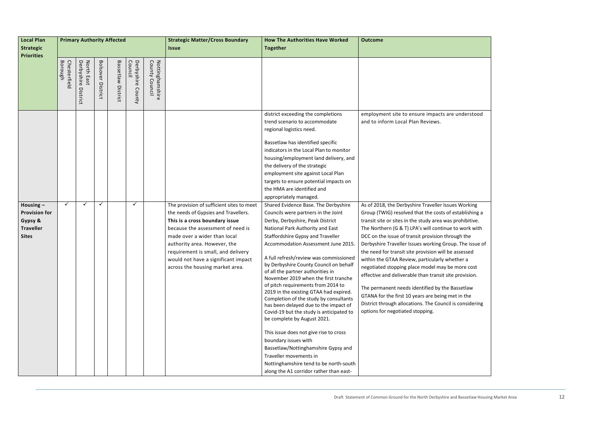| Local Plan                                                                         | <b>Primary Authority Affected</b> |                                      |                             |                       |                                 |                                    | <b>Strategic Matter/Cross Boundary</b>                                                                                                                                                                                                                                                                                                   | <b>How The Authorities Have Worked</b>                                                                                                                                                                                                                                                                                                                                                                                                                                                                                                                                                                                                                                                                                                                                                                                      | <b>Outcome</b>                                                                                                                                                                                                                                                                                                                                                                                                                                                                                                                                                                                                                                                                                                                                                                     |
|------------------------------------------------------------------------------------|-----------------------------------|--------------------------------------|-----------------------------|-----------------------|---------------------------------|------------------------------------|------------------------------------------------------------------------------------------------------------------------------------------------------------------------------------------------------------------------------------------------------------------------------------------------------------------------------------------|-----------------------------------------------------------------------------------------------------------------------------------------------------------------------------------------------------------------------------------------------------------------------------------------------------------------------------------------------------------------------------------------------------------------------------------------------------------------------------------------------------------------------------------------------------------------------------------------------------------------------------------------------------------------------------------------------------------------------------------------------------------------------------------------------------------------------------|------------------------------------------------------------------------------------------------------------------------------------------------------------------------------------------------------------------------------------------------------------------------------------------------------------------------------------------------------------------------------------------------------------------------------------------------------------------------------------------------------------------------------------------------------------------------------------------------------------------------------------------------------------------------------------------------------------------------------------------------------------------------------------|
| Strategic                                                                          |                                   |                                      |                             |                       |                                 |                                    | <b>Issue</b>                                                                                                                                                                                                                                                                                                                             | <b>Together</b>                                                                                                                                                                                                                                                                                                                                                                                                                                                                                                                                                                                                                                                                                                                                                                                                             |                                                                                                                                                                                                                                                                                                                                                                                                                                                                                                                                                                                                                                                                                                                                                                                    |
| <b>Priorities</b>                                                                  |                                   |                                      |                             |                       |                                 |                                    |                                                                                                                                                                                                                                                                                                                                          |                                                                                                                                                                                                                                                                                                                                                                                                                                                                                                                                                                                                                                                                                                                                                                                                                             |                                                                                                                                                                                                                                                                                                                                                                                                                                                                                                                                                                                                                                                                                                                                                                                    |
|                                                                                    | Borough<br>Chesterfield           | North East<br>Derbyshire<br>District | <b>Bolsover</b><br>District | Bassetlaw<br>District | Council<br>Derbyshire<br>County | County<br>Nottinghamshire<br>Counc |                                                                                                                                                                                                                                                                                                                                          |                                                                                                                                                                                                                                                                                                                                                                                                                                                                                                                                                                                                                                                                                                                                                                                                                             |                                                                                                                                                                                                                                                                                                                                                                                                                                                                                                                                                                                                                                                                                                                                                                                    |
|                                                                                    |                                   |                                      |                             |                       |                                 |                                    |                                                                                                                                                                                                                                                                                                                                          | district exceeding the completions<br>trend scenario to accommodate<br>regional logistics need.<br>Bassetlaw has identified specific<br>indicators in the Local Plan to monitor<br>housing/employment land delivery, and<br>the delivery of the strategic<br>employment site against Local Plan<br>targets to ensure potential impacts on<br>the HMA are identified and<br>appropriately managed.                                                                                                                                                                                                                                                                                                                                                                                                                           | employment site to ensure impacts are understood<br>and to inform Local Plan Reviews.                                                                                                                                                                                                                                                                                                                                                                                                                                                                                                                                                                                                                                                                                              |
| Housing $-$<br><b>Provision for</b><br>Gypsy &<br><b>Traveller</b><br><b>Sites</b> |                                   | ✓                                    | $\checkmark$                |                       | ✓                               |                                    | The provision of sufficient sites to meet<br>the needs of Gypsies and Travellers.<br>This is a cross boundary issue<br>because the assessment of need is<br>made over a wider than local<br>authority area. However, the<br>requirement is small, and delivery<br>would not have a significant impact<br>across the housing market area. | Shared Evidence Base. The Derbyshire<br>Councils were partners in the Joint<br>Derby, Derbyshire, Peak District<br>National Park Authority and East<br>Staffordshire Gypsy and Traveller<br>Accommodation Assessment June 2015.<br>A full refresh/review was commissioned<br>by Derbyshire County Council on behalf<br>of all the partner authorities in<br>November 2019 when the first tranche<br>of pitch requirements from 2014 to<br>2019 in the existing GTAA had expired.<br>Completion of the study by consultants<br>has been delayed due to the impact of<br>Covid-19 but the study is anticipated to<br>be complete by August 2021.<br>This issue does not give rise to cross<br>boundary issues with<br>Bassetlaw/Nottinghamshire Gypsy and<br>Traveller movements in<br>Nottinghamshire tend to be north-south | As of 2018, the Derbyshire Traveller Issues Working<br>Group (TWIG) resolved that the costs of establishing a<br>transit site or sites in the study area was prohibitive.<br>The Northern (G & T) LPA's will continue to work with<br>DCC on the issue of transit provision through the<br>Derbyshire Traveller Issues working Group. The issue of<br>the need for transit site provision will be assessed<br>within the GTAA Review, particularly whether a<br>negotiated stopping place model may be more cost<br>effective and deliverable than transit site provision.<br>The permanent needs identified by the Bassetlaw<br>GTANA for the first 10 years are being met in the<br>District through allocations. The Council is considering<br>options for negotiated stopping. |

| e understood             |
|--------------------------|
|                          |
|                          |
|                          |
|                          |
|                          |
|                          |
|                          |
| es Working               |
| establishing a           |
| prohibitive.             |
| to work with<br>ough the |
| ip. The issue of         |
| assessed                 |
| ether a                  |
| more cost<br>provision.  |
| assetlaw                 |
| et in the                |
| is considering           |
|                          |
|                          |
|                          |
|                          |
|                          |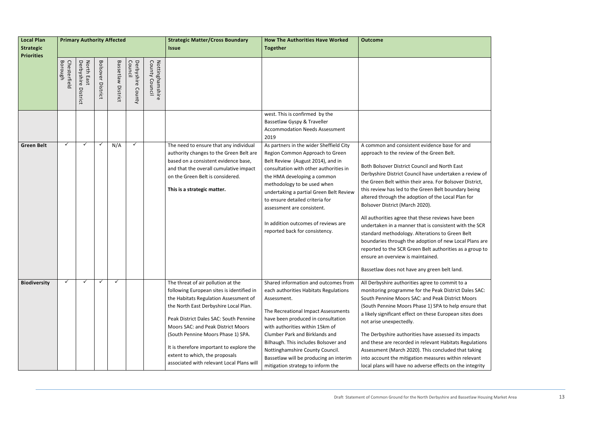| <b>Local Plan</b><br><b>Strategic</b><br><b>Priorities</b> | <b>Primary Authority Affected</b> |                                         |                          |                              |                                |                                   | <b>Strategic Matter/Cross Boundary</b><br><b>Issue</b>                                                                                                                                                                                                                                                                                                                                                             | <b>How The Authorities Have Worked</b><br><b>Together</b>                                                                                                                                                                                                                                                                                                                                                    | <b>Outcome</b>                                                                                                                                                                                                                                                                                                                                                                                                                                                                                                                                                                                                                                                              |
|------------------------------------------------------------|-----------------------------------|-----------------------------------------|--------------------------|------------------------------|--------------------------------|-----------------------------------|--------------------------------------------------------------------------------------------------------------------------------------------------------------------------------------------------------------------------------------------------------------------------------------------------------------------------------------------------------------------------------------------------------------------|--------------------------------------------------------------------------------------------------------------------------------------------------------------------------------------------------------------------------------------------------------------------------------------------------------------------------------------------------------------------------------------------------------------|-----------------------------------------------------------------------------------------------------------------------------------------------------------------------------------------------------------------------------------------------------------------------------------------------------------------------------------------------------------------------------------------------------------------------------------------------------------------------------------------------------------------------------------------------------------------------------------------------------------------------------------------------------------------------------|
|                                                            | Chesterfield<br>Borough           | Derbyshire<br>North<br>East<br>District | <b>Bolsover District</b> | <b>Bassetlaw</b><br>District | Derbyshire<br>Counci<br>County | Nottinghamshire<br>County Council |                                                                                                                                                                                                                                                                                                                                                                                                                    |                                                                                                                                                                                                                                                                                                                                                                                                              |                                                                                                                                                                                                                                                                                                                                                                                                                                                                                                                                                                                                                                                                             |
|                                                            |                                   |                                         |                          |                              |                                |                                   |                                                                                                                                                                                                                                                                                                                                                                                                                    | west. This is confirmed by the<br>Bassetlaw Gyspy & Traveller<br><b>Accommodation Needs Assessment</b><br>2019                                                                                                                                                                                                                                                                                               |                                                                                                                                                                                                                                                                                                                                                                                                                                                                                                                                                                                                                                                                             |
| <b>Green Belt</b>                                          | ✓                                 | ✓                                       | ✓                        | N/A                          | ✓                              |                                   | The need to ensure that any individual<br>authority changes to the Green Belt are<br>based on a consistent evidence base,<br>and that the overall cumulative impact<br>on the Green Belt is considered.<br>This is a strategic matter.                                                                                                                                                                             | As partners in the wider Sheffield City<br>Region Common Approach to Green<br>Belt Review (August 2014), and in<br>consultation with other authorities in<br>the HMA developing a common<br>methodology to be used when<br>undertaking a partial Green Belt Review<br>to ensure detailed criteria for<br>assessment are consistent.<br>In addition outcomes of reviews are<br>reported back for consistency. | A common and consistent evidence base<br>approach to the review of the Green Belt.<br>Both Bolsover District Council and North I<br>Derbyshire District Council have undertak<br>the Green Belt within their area. For Bolso<br>this review has led to the Green Belt bour<br>altered through the adoption of the Local<br>Bolsover District (March 2020).<br>All authorities agree that these reviews ha<br>undertaken in a manner that is consistent<br>standard methodology. Alterations to Gre<br>boundaries through the adoption of new<br>reported to the SCR Green Belt authoritie<br>ensure an overview is maintained.<br>Bassetlaw does not have any green belt la |
| <b>Biodiversity</b>                                        | ✓                                 | ✓                                       | ✓                        | ✓                            |                                |                                   | The threat of air pollution at the<br>following European sites is identified in<br>the Habitats Regulation Assessment of<br>the North East Derbyshire Local Plan.<br>Peak District Dales SAC: South Pennine<br>Moors SAC: and Peak District Moors<br>(South Pennine Moors Phase 1) SPA.<br>It is therefore important to explore the<br>extent to which, the proposals<br>associated with relevant Local Plans will | Shared information and outcomes from<br>each authorities Habitats Regulations<br>Assessment.<br>The Recreational Impact Assessments<br>have been produced in consultation<br>with authorities within 15km of<br>Clumber Park and Birklands and<br>Bilhaugh. This includes Bolsover and<br>Nottinghamshire County Council.<br>Bassetlaw will be producing an interim<br>mitigation strategy to inform the     | All Derbyshire authorities agree to commi<br>monitoring programme for the Peak Distr<br>South Pennine Moors SAC: and Peak Distr<br>(South Pennine Moors Phase 1) SPA to he<br>a likely significant effect on these Europea<br>not arise unexpectedly.<br>The Derbyshire authorities have assessed<br>and these are recorded in relevant Habita<br>Assessment (March 2020). This concluded<br>into account the mitigation measures witl<br>local plans will have no adverse effects or                                                                                                                                                                                       |

e for and Bast ken a review of sover District, undary being al Plan for have been nt with the SCR reen Belt v Local Plans are ies as a group to land.  $\overline{\text{mit to a}}$ trict Dales SAC: trict Moors nelp ensure that ean sites does d its impacts tats Regulations ed that taking ithin relevant on the integrity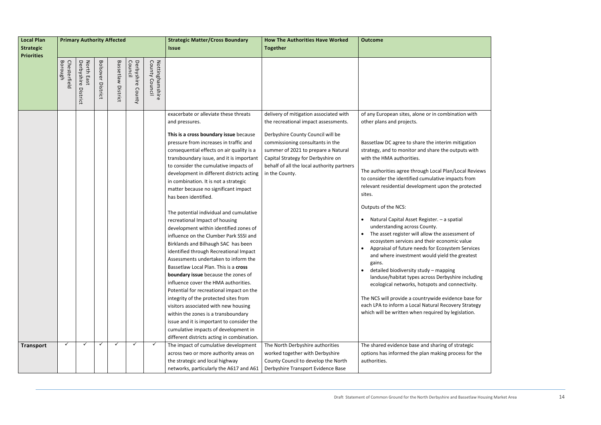| <b>Local Plan</b> | <b>Primary Authority Affected</b> |                                      |                          |                    |                                 |                                     | <b>Strategic Matter/Cross Boundary</b>                                                                                                                                                                                                                                                                                                                                                                                                                                                                                                                                                                                                                                                                                                                                                                                                                                                                                                                                                                                                              | <b>How The Authorities Have Worked</b>                                                                                                                                                                             | <b>Outcome</b>                                                                                                                                                                                                                                                                                                                                                                                                                                                                                                                                                                                                                                                                                                                                                                                                                                                                                                                                                         |  |
|-------------------|-----------------------------------|--------------------------------------|--------------------------|--------------------|---------------------------------|-------------------------------------|-----------------------------------------------------------------------------------------------------------------------------------------------------------------------------------------------------------------------------------------------------------------------------------------------------------------------------------------------------------------------------------------------------------------------------------------------------------------------------------------------------------------------------------------------------------------------------------------------------------------------------------------------------------------------------------------------------------------------------------------------------------------------------------------------------------------------------------------------------------------------------------------------------------------------------------------------------------------------------------------------------------------------------------------------------|--------------------------------------------------------------------------------------------------------------------------------------------------------------------------------------------------------------------|------------------------------------------------------------------------------------------------------------------------------------------------------------------------------------------------------------------------------------------------------------------------------------------------------------------------------------------------------------------------------------------------------------------------------------------------------------------------------------------------------------------------------------------------------------------------------------------------------------------------------------------------------------------------------------------------------------------------------------------------------------------------------------------------------------------------------------------------------------------------------------------------------------------------------------------------------------------------|--|
| <b>Strategic</b>  |                                   |                                      |                          |                    |                                 |                                     | <b>Issue</b>                                                                                                                                                                                                                                                                                                                                                                                                                                                                                                                                                                                                                                                                                                                                                                                                                                                                                                                                                                                                                                        | <b>Together</b>                                                                                                                                                                                                    |                                                                                                                                                                                                                                                                                                                                                                                                                                                                                                                                                                                                                                                                                                                                                                                                                                                                                                                                                                        |  |
| <b>Priorities</b> |                                   |                                      |                          |                    |                                 |                                     |                                                                                                                                                                                                                                                                                                                                                                                                                                                                                                                                                                                                                                                                                                                                                                                                                                                                                                                                                                                                                                                     |                                                                                                                                                                                                                    |                                                                                                                                                                                                                                                                                                                                                                                                                                                                                                                                                                                                                                                                                                                                                                                                                                                                                                                                                                        |  |
|                   | Borough<br>Chesterfield           | North East<br>Derbyshire<br>District | <b>Bolsover District</b> | Bassetlaw District | Council<br>Derbyshire<br>County | County<br>Nottinghamshire<br>Counci |                                                                                                                                                                                                                                                                                                                                                                                                                                                                                                                                                                                                                                                                                                                                                                                                                                                                                                                                                                                                                                                     |                                                                                                                                                                                                                    |                                                                                                                                                                                                                                                                                                                                                                                                                                                                                                                                                                                                                                                                                                                                                                                                                                                                                                                                                                        |  |
|                   |                                   |                                      |                          |                    |                                 |                                     | exacerbate or alleviate these threats<br>and pressures.                                                                                                                                                                                                                                                                                                                                                                                                                                                                                                                                                                                                                                                                                                                                                                                                                                                                                                                                                                                             | delivery of mitigation associated with<br>the recreational impact assessments.                                                                                                                                     | of any European sites, alone or in combination with<br>other plans and projects.                                                                                                                                                                                                                                                                                                                                                                                                                                                                                                                                                                                                                                                                                                                                                                                                                                                                                       |  |
|                   |                                   |                                      |                          |                    |                                 |                                     | This is a cross boundary issue because<br>pressure from increases in traffic and<br>consequential effects on air quality is a<br>transboundary issue, and it is important<br>to consider the cumulative impacts of<br>development in different districts acting<br>in combination. It is not a strategic<br>matter because no significant impact<br>has been identified.<br>The potential individual and cumulative<br>recreational Impact of housing<br>development within identified zones of<br>influence on the Clumber Park SSSI and<br>Birklands and Bilhaugh SAC has been<br>identified through Recreational Impact<br>Assessments undertaken to inform the<br>Bassetlaw Local Plan. This is a cross<br>boundary issue because the zones of<br>influence cover the HMA authorities.<br>Potential for recreational impact on the<br>integrity of the protected sites from<br>visitors associated with new housing<br>within the zones is a transboundary<br>issue and it is important to consider the<br>cumulative impacts of development in | Derbyshire County Council will be<br>commissioning consultants in the<br>summer of 2021 to prepare a Natural<br>Capital Strategy for Derbyshire on<br>behalf of all the local authority partners<br>in the County. | Bassetlaw DC agree to share the interim mitigation<br>strategy, and to monitor and share the outputs with<br>with the HMA authorities.<br>The authorities agree through Local Plan/Local Reviews<br>to consider the identified cumulative impacts from<br>relevant residential development upon the protected<br>sites.<br>Outputs of the NCS:<br>Natural Capital Asset Register. - a spatial<br>understanding across County.<br>The asset register will allow the assessment of<br>ecosystem services and their economic value<br>Appraisal of future needs for Ecosystem Services<br>and where investment would yield the greatest<br>gains.<br>detailed biodiversity study - mapping<br>landuse/habitat types across Derbyshire including<br>ecological networks, hotspots and connectivity.<br>The NCS will provide a countrywide evidence base for<br>each LPA to inform a Local Natural Recovery Strategy<br>which will be written when required by legislation. |  |
| <b>Transport</b>  |                                   | $\checkmark$                         | $\checkmark$             | $\checkmark$       |                                 | $\checkmark$                        | different districts acting in combination.<br>The impact of cumulative development                                                                                                                                                                                                                                                                                                                                                                                                                                                                                                                                                                                                                                                                                                                                                                                                                                                                                                                                                                  | The North Derbyshire authorities                                                                                                                                                                                   | The shared evidence base and sharing of strategic                                                                                                                                                                                                                                                                                                                                                                                                                                                                                                                                                                                                                                                                                                                                                                                                                                                                                                                      |  |
|                   |                                   |                                      |                          |                    |                                 |                                     | across two or more authority areas on                                                                                                                                                                                                                                                                                                                                                                                                                                                                                                                                                                                                                                                                                                                                                                                                                                                                                                                                                                                                               | worked together with Derbyshire                                                                                                                                                                                    | options has informed the plan making process for the                                                                                                                                                                                                                                                                                                                                                                                                                                                                                                                                                                                                                                                                                                                                                                                                                                                                                                                   |  |
|                   |                                   |                                      |                          |                    |                                 |                                     | the strategic and local highway                                                                                                                                                                                                                                                                                                                                                                                                                                                                                                                                                                                                                                                                                                                                                                                                                                                                                                                                                                                                                     | County Council to develop the North                                                                                                                                                                                | authorities.                                                                                                                                                                                                                                                                                                                                                                                                                                                                                                                                                                                                                                                                                                                                                                                                                                                                                                                                                           |  |
|                   |                                   |                                      |                          |                    |                                 |                                     | networks, particularly the A617 and A61                                                                                                                                                                                                                                                                                                                                                                                                                                                                                                                                                                                                                                                                                                                                                                                                                                                                                                                                                                                                             | Derbyshire Transport Evidence Base                                                                                                                                                                                 |                                                                                                                                                                                                                                                                                                                                                                                                                                                                                                                                                                                                                                                                                                                                                                                                                                                                                                                                                                        |  |

| nation with                                          |
|------------------------------------------------------|
| mitigation<br>utputs with                            |
| /Local Reviews<br>pacts from<br>he protected         |
| atial                                                |
| ssment of<br>nic value<br>em Services<br>he greatest |
| g<br>hire including<br>onnectivity.                  |
| ence base for<br>very Strategy<br>egislation.        |
| strategic<br>ocess for the                           |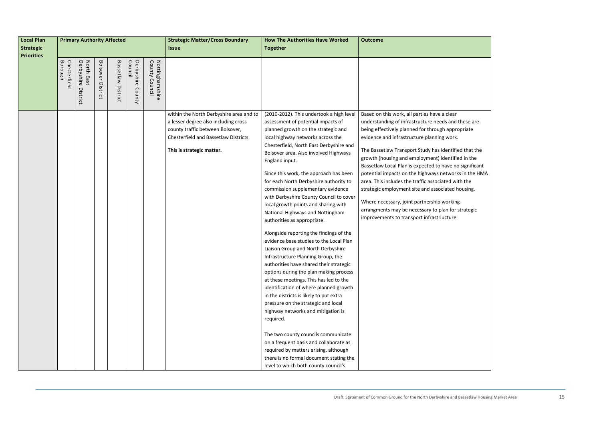| <b>Local Plan</b> |                         | <b>Primary Authority Affected</b>       |                          |                       |                                 |                                      | <b>Strategic Matter/Cross Boundary</b>                                                                                                         | <b>How The Authorities Have Worked</b>                                                                                                                                                                                                                                                                                                                                                                                                                                                                                                                                                                                                                                                                                                                                                                                                                                                                                                                                                                                     | <b>Outcome</b>                                                                                                                                                                                                                                                                                                                                                                                                                                                                                                                                                                    |  |
|-------------------|-------------------------|-----------------------------------------|--------------------------|-----------------------|---------------------------------|--------------------------------------|------------------------------------------------------------------------------------------------------------------------------------------------|----------------------------------------------------------------------------------------------------------------------------------------------------------------------------------------------------------------------------------------------------------------------------------------------------------------------------------------------------------------------------------------------------------------------------------------------------------------------------------------------------------------------------------------------------------------------------------------------------------------------------------------------------------------------------------------------------------------------------------------------------------------------------------------------------------------------------------------------------------------------------------------------------------------------------------------------------------------------------------------------------------------------------|-----------------------------------------------------------------------------------------------------------------------------------------------------------------------------------------------------------------------------------------------------------------------------------------------------------------------------------------------------------------------------------------------------------------------------------------------------------------------------------------------------------------------------------------------------------------------------------|--|
| <b>Strategic</b>  |                         |                                         |                          |                       |                                 |                                      | <b>Issue</b>                                                                                                                                   | <b>Together</b>                                                                                                                                                                                                                                                                                                                                                                                                                                                                                                                                                                                                                                                                                                                                                                                                                                                                                                                                                                                                            |                                                                                                                                                                                                                                                                                                                                                                                                                                                                                                                                                                                   |  |
| <b>Priorities</b> |                         |                                         |                          |                       |                                 |                                      |                                                                                                                                                |                                                                                                                                                                                                                                                                                                                                                                                                                                                                                                                                                                                                                                                                                                                                                                                                                                                                                                                                                                                                                            |                                                                                                                                                                                                                                                                                                                                                                                                                                                                                                                                                                                   |  |
|                   | Chesterfield<br>Borough | Derbyshire<br>North<br>East<br>District | <b>Bolsover District</b> | Bassetlaw<br>District | Derbyshire<br>Council<br>County | Nottinghamshire<br>County<br>Council | within the North Derbyshire area and to                                                                                                        | (2010-2012). This undertook a high level                                                                                                                                                                                                                                                                                                                                                                                                                                                                                                                                                                                                                                                                                                                                                                                                                                                                                                                                                                                   | Based on this work, all parties have a clear                                                                                                                                                                                                                                                                                                                                                                                                                                                                                                                                      |  |
|                   |                         |                                         |                          |                       |                                 |                                      | a lesser degree also including cross<br>county traffic between Bolsover,<br>Chesterfield and Bassetlaw Districts.<br>This is strategic matter. | assessment of potential impacts of<br>planned growth on the strategic and<br>local highway networks across the<br>Chesterfield, North East Derbyshire and<br>Bolsover area. Also involved Highways<br>England input.<br>Since this work, the approach has been<br>for each North Derbyshire authority to<br>commission supplementary evidence<br>with Derbyshire County Council to cover<br>local growth points and sharing with<br>National Highways and Nottingham<br>authorities as appropriate.<br>Alongside reporting the findings of the<br>evidence base studies to the Local Plan<br>Liaison Group and North Derbyshire<br>Infrastructure Planning Group, the<br>authorities have shared their strategic<br>options during the plan making process<br>at these meetings. This has led to the<br>identification of where planned growth<br>in the districts is likely to put extra<br>pressure on the strategic and local<br>highway networks and mitigation is<br>required.<br>The two county councils communicate | understanding of infrastructure needs and tl<br>being effectively planned for through appro<br>evidence and infrastructure planning work.<br>The Bassetlaw Transport Study has identified<br>growth (housing and employment) identified<br>Bassetlaw Local Plan is expected to have no<br>potential impacts on the highways networks<br>area. This includes the traffic associated witl<br>strategic employment site and associated ho<br>Where necessary, joint partnership working<br>arrangments may be necessary to plan for st<br>improvements to transport infrastriucture. |  |
|                   |                         |                                         |                          |                       |                                 |                                      |                                                                                                                                                | on a frequent basis and collaborate as<br>required by matters arising, although<br>there is no formal document stating the<br>level to which both county council's                                                                                                                                                                                                                                                                                                                                                                                                                                                                                                                                                                                                                                                                                                                                                                                                                                                         |                                                                                                                                                                                                                                                                                                                                                                                                                                                                                                                                                                                   |  |

nd these are propriate tified that the

tified in the e no significant orks in the HMA with the d housing.

or strategic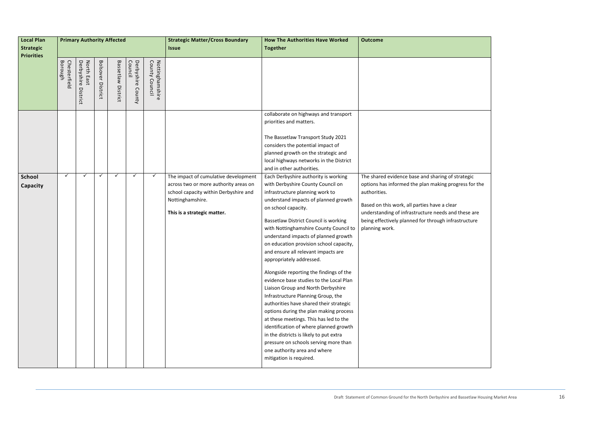| <b>Local Plan</b>                     | <b>Primary Authority Affected</b> |                                         |                          |                              |                                 |                                         | <b>Strategic Matter/Cross Boundary</b>                                                                                                                                    | <b>How The Authorities Have Worked</b>                                                                                                                                                                                                                                                                                                                                                                                                                                                                                                                                                                                                                                                                                                                                                                                                                                                                         | <b>Outcome</b>                                                                                                                                                                                                                                                         |
|---------------------------------------|-----------------------------------|-----------------------------------------|--------------------------|------------------------------|---------------------------------|-----------------------------------------|---------------------------------------------------------------------------------------------------------------------------------------------------------------------------|----------------------------------------------------------------------------------------------------------------------------------------------------------------------------------------------------------------------------------------------------------------------------------------------------------------------------------------------------------------------------------------------------------------------------------------------------------------------------------------------------------------------------------------------------------------------------------------------------------------------------------------------------------------------------------------------------------------------------------------------------------------------------------------------------------------------------------------------------------------------------------------------------------------|------------------------------------------------------------------------------------------------------------------------------------------------------------------------------------------------------------------------------------------------------------------------|
| <b>Strategic</b><br><b>Priorities</b> |                                   |                                         |                          |                              |                                 |                                         | <b>Issue</b>                                                                                                                                                              | <b>Together</b>                                                                                                                                                                                                                                                                                                                                                                                                                                                                                                                                                                                                                                                                                                                                                                                                                                                                                                |                                                                                                                                                                                                                                                                        |
|                                       | Borough<br>Chesterfield           | Derbyshire<br>North<br>East<br>District | <b>Bolsover District</b> | <b>Bassetlaw</b><br>District | Council<br>Derbyshire<br>County | County<br>Nottingha<br>Counc<br>amshire |                                                                                                                                                                           |                                                                                                                                                                                                                                                                                                                                                                                                                                                                                                                                                                                                                                                                                                                                                                                                                                                                                                                |                                                                                                                                                                                                                                                                        |
|                                       |                                   |                                         |                          |                              |                                 |                                         |                                                                                                                                                                           | collaborate on highways and transport<br>priorities and matters.<br>The Bassetlaw Transport Study 2021<br>considers the potential impact of<br>planned growth on the strategic and<br>local highways networks in the District<br>and in other authorities.                                                                                                                                                                                                                                                                                                                                                                                                                                                                                                                                                                                                                                                     |                                                                                                                                                                                                                                                                        |
| <b>School</b><br>Capacity             | $\checkmark$                      | ✓                                       | ✓                        | ✓                            | ✓                               | $\checkmark$                            | The impact of cumulative development<br>across two or more authority areas on<br>school capacity within Derbyshire and<br>Nottinghamshire.<br>This is a strategic matter. | Each Derbyshire authority is working<br>with Derbyshire County Council on<br>infrastructure planning work to<br>understand impacts of planned growth<br>on school capacity.<br>Bassetlaw District Council is working<br>with Nottinghamshire County Council to<br>understand impacts of planned growth<br>on education provision school capacity,<br>and ensure all relevant impacts are<br>appropriately addressed.<br>Alongside reporting the findings of the<br>evidence base studies to the Local Plan<br>Liaison Group and North Derbyshire<br>Infrastructure Planning Group, the<br>authorities have shared their strategic<br>options during the plan making process<br>at these meetings. This has led to the<br>identification of where planned growth<br>in the districts is likely to put extra<br>pressure on schools serving more than<br>one authority area and where<br>mitigation is required. | The shared evidence base and sharing of st<br>options has informed the plan making prog<br>authorities.<br>Based on this work, all parties have a clear<br>understanding of infrastructure needs and<br>being effectively planned for through infra:<br>planning work. |

f strategic rogress for the nd these are frastructure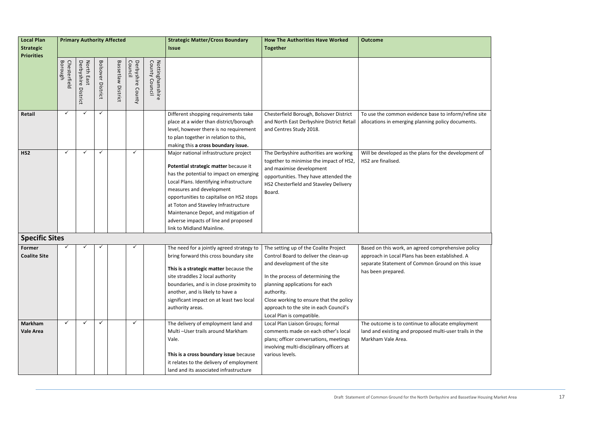| <b>Local Plan</b>                  | <b>Primary Authority Affected</b> |                                      |                          |                    |                                 |                                      | <b>Strategic Matter/Cross Boundary</b>                                                                                                                                                                                                                                                                                                                                                            | <b>How The Authorities Have Worked</b>                                                                                                                                                                                                         | <b>Outcome</b>                                                                                            |  |
|------------------------------------|-----------------------------------|--------------------------------------|--------------------------|--------------------|---------------------------------|--------------------------------------|---------------------------------------------------------------------------------------------------------------------------------------------------------------------------------------------------------------------------------------------------------------------------------------------------------------------------------------------------------------------------------------------------|------------------------------------------------------------------------------------------------------------------------------------------------------------------------------------------------------------------------------------------------|-----------------------------------------------------------------------------------------------------------|--|
| <b>Strategic</b>                   |                                   |                                      |                          |                    |                                 |                                      | <b>Issue</b>                                                                                                                                                                                                                                                                                                                                                                                      | <b>Together</b>                                                                                                                                                                                                                                |                                                                                                           |  |
| <b>Priorities</b>                  |                                   |                                      |                          |                    |                                 |                                      |                                                                                                                                                                                                                                                                                                                                                                                                   |                                                                                                                                                                                                                                                |                                                                                                           |  |
|                                    | Borough<br>Chesterfield           | Derbyshire<br>North East<br>District | <b>Bolsover District</b> | Bassetlaw District | Derbyshire<br>Council<br>County | County<br>Nottinghamshire<br>Council |                                                                                                                                                                                                                                                                                                                                                                                                   |                                                                                                                                                                                                                                                |                                                                                                           |  |
| Retail                             | $\checkmark$                      | ✓                                    | $\checkmark$             |                    |                                 |                                      | Different shopping requirements take<br>place at a wider than district/borough<br>level, however there is no requirement<br>to plan together in relation to this,<br>making this a cross boundary issue.                                                                                                                                                                                          | Chesterfield Borough, Bolsover District<br>and North East Derbyshire District Retail<br>and Centres Study 2018.                                                                                                                                | To use the common evidence base to inf<br>allocations in emerging planning policy o                       |  |
| HS <sub>2</sub>                    | $\checkmark$                      | ✓                                    | $\checkmark$             |                    | $\checkmark$                    |                                      | Major national infrastructure project<br>Potential strategic matter because it<br>has the potential to impact on emerging<br>Local Plans. Identifying infrastructure<br>measures and development<br>opportunities to capitalise on HS2 stops<br>at Toton and Staveley Infrastructure<br>Maintenance Depot, and mitigation of<br>adverse impacts of line and proposed<br>link to Midland Mainline. | The Derbyshire authorities are working<br>together to minimise the impact of HS2,<br>and maximise development<br>opportunities. They have attended the<br>HS2 Chesterfield and Staveley Delivery<br>Board.                                     | Will be developed as the plans for the de<br>HS2 are finalised.                                           |  |
| <b>Specific Sites</b>              |                                   |                                      |                          |                    |                                 |                                      |                                                                                                                                                                                                                                                                                                                                                                                                   |                                                                                                                                                                                                                                                |                                                                                                           |  |
| Former                             |                                   |                                      |                          |                    |                                 |                                      | The need for a jointly agreed strategy to                                                                                                                                                                                                                                                                                                                                                         | The setting up of the Coalite Project                                                                                                                                                                                                          | Based on this work, an agreed comprehe                                                                    |  |
| <b>Coalite Site</b>                |                                   |                                      |                          |                    |                                 |                                      | bring forward this cross boundary site<br>This is a strategic matter because the<br>site straddles 2 local authority<br>boundaries, and is in close proximity to<br>another, and is likely to have a<br>significant impact on at least two local<br>authority areas.                                                                                                                              | Control Board to deliver the clean-up<br>and development of the site<br>In the process of determining the<br>planning applications for each<br>authority.<br>Close working to ensure that the policy<br>approach to the site in each Council's | approach in Local Plans has been establis<br>separate Statement of Common Ground<br>has been prepared.    |  |
|                                    |                                   |                                      |                          |                    |                                 |                                      |                                                                                                                                                                                                                                                                                                                                                                                                   | Local Plan is compatible.                                                                                                                                                                                                                      |                                                                                                           |  |
| <b>Markham</b><br><b>Vale Area</b> | ✓                                 | ✓                                    | $\checkmark$             |                    | ✓                               |                                      | The delivery of employment land and<br>Multi-User trails around Markham<br>Vale.<br>This is a cross boundary issue because<br>it relates to the delivery of employment<br>land and its associated infrastructure                                                                                                                                                                                  | Local Plan Liaison Groups; formal<br>comments made on each other's local<br>plans; officer conversations, meetings<br>involving multi-disciplinary officers at<br>various levels.                                                              | The outcome is to continue to allocate e<br>land and existing and proposed multi-us<br>Markham Vale Area. |  |

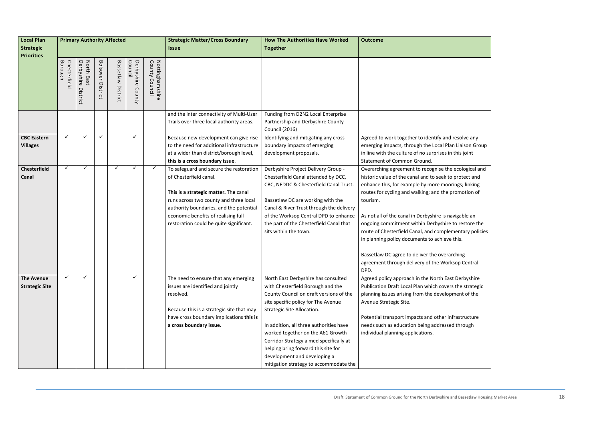| <b>Local Plan</b>                          | <b>Primary Authority Affected</b> |                                      |                             |                       |                                 |                                                | <b>Strategic Matter/Cross Boundary</b>                                                                                                                                                                                                                                            | <b>How The Authorities Have Worked</b>                                                                                                                                                                                                                                                                                                                                                                                               | <b>Outcome</b>                                                                                                                                                                                                                                                                                                                                                                                                                                                                                                                                                                       |
|--------------------------------------------|-----------------------------------|--------------------------------------|-----------------------------|-----------------------|---------------------------------|------------------------------------------------|-----------------------------------------------------------------------------------------------------------------------------------------------------------------------------------------------------------------------------------------------------------------------------------|--------------------------------------------------------------------------------------------------------------------------------------------------------------------------------------------------------------------------------------------------------------------------------------------------------------------------------------------------------------------------------------------------------------------------------------|--------------------------------------------------------------------------------------------------------------------------------------------------------------------------------------------------------------------------------------------------------------------------------------------------------------------------------------------------------------------------------------------------------------------------------------------------------------------------------------------------------------------------------------------------------------------------------------|
| <b>Strategic</b>                           |                                   |                                      |                             |                       |                                 |                                                | <i><b>Issue</b></i>                                                                                                                                                                                                                                                               | <b>Together</b>                                                                                                                                                                                                                                                                                                                                                                                                                      |                                                                                                                                                                                                                                                                                                                                                                                                                                                                                                                                                                                      |
| <b>Priorities</b>                          | Borough<br>Chesterfield           | North East<br>Derbyshire<br>District | <b>Bolsover</b><br>District | Bassetlaw<br>District | Derbyshire<br>Council<br>County | Nottingh<br>County<br>Council<br>Ρã<br>amshire |                                                                                                                                                                                                                                                                                   |                                                                                                                                                                                                                                                                                                                                                                                                                                      |                                                                                                                                                                                                                                                                                                                                                                                                                                                                                                                                                                                      |
|                                            |                                   |                                      |                             |                       |                                 |                                                | and the inter connectivity of Multi-User<br>Trails over three local authority areas.                                                                                                                                                                                              | Funding from D2N2 Local Enterprise<br>Partnership and Derbyshire County<br><b>Council (2016)</b>                                                                                                                                                                                                                                                                                                                                     |                                                                                                                                                                                                                                                                                                                                                                                                                                                                                                                                                                                      |
| <b>CBC Eastern</b><br><b>Villages</b>      | $\checkmark$                      | $\checkmark$                         | $\checkmark$                |                       | $\checkmark$                    |                                                | Because new development can give rise<br>to the need for additional infrastructure<br>at a wider than district/borough level,<br>this is a cross boundary issue.                                                                                                                  | Identifying and mitigating any cross<br>boundary impacts of emerging<br>development proposals.                                                                                                                                                                                                                                                                                                                                       | Agreed to work together to identify and resolve any<br>emerging impacts, through the Local Plan Liaison Group<br>in line with the culture of no surprises in this joint<br>Statement of Common Ground.                                                                                                                                                                                                                                                                                                                                                                               |
| <b>Chesterfield</b><br>Canal               | $\checkmark$                      | $\checkmark$                         |                             | $\checkmark$          |                                 | $\checkmark$                                   | To safeguard and secure the restoration<br>of Chesterfield canal.<br>This is a strategic matter. The canal<br>runs across two county and three local<br>authority boundaries, and the potential<br>economic benefits of realising full<br>restoration could be quite significant. | Derbyshire Project Delivery Group -<br>Chesterfield Canal attended by DCC,<br>CBC, NEDDC & Chesterfield Canal Trust.<br>Bassetlaw DC are working with the<br>Canal & River Trust through the delivery<br>of the Worksop Central DPD to enhance<br>the part of the Chesterfield Canal that<br>sits within the town.                                                                                                                   | Overarching agreement to recognise the ecological and<br>historic value of the canal and to seek to protect and<br>enhance this, for example by more moorings; linking<br>routes for cycling and walking; and the promotion of<br>tourism.<br>As not all of the canal in Derbyshire is navigable an<br>ongoing commitment within Derbyshire to restore the<br>route of Chesterfield Canal, and complementary policies<br>in planning policy documents to achieve this.<br>Bassetlaw DC agree to deliver the overarching<br>agreement through delivery of the Worksop Central<br>DPD. |
| <b>The Avenue</b><br><b>Strategic Site</b> | $\checkmark$                      | $\checkmark$                         |                             |                       | ✓                               |                                                | The need to ensure that any emerging<br>issues are identified and jointly<br>resolved.<br>Because this is a strategic site that may<br>have cross boundary implications this is<br>a cross boundary issue.                                                                        | North East Derbyshire has consulted<br>with Chesterfield Borough and the<br>County Council on draft versions of the<br>site specific policy for The Avenue<br>Strategic Site Allocation.<br>In addition, all three authorities have<br>worked together on the A61 Growth<br>Corridor Strategy aimed specifically at<br>helping bring forward this site for<br>development and developing a<br>mitigation strategy to accommodate the | Agreed policy approach in the North East Derbyshire<br>Publication Draft Local Plan which covers the strategic<br>planning issues arising from the development of the<br>Avenue Strategic Site.<br>Potential transport impacts and other infrastructure<br>needs such as education being addressed through<br>individual planning applications.                                                                                                                                                                                                                                      |

| esolve any                         |
|------------------------------------|
| Liaison Group<br>this joint        |
|                                    |
| ecological and<br>protect and      |
| ings; linking                      |
| omotion of                         |
|                                    |
| vigable an                         |
| o restore the:<br>nentary policies |
| this.                              |
| ching                              |
| sop Central                        |
|                                    |
| Derbyshire<br>the strategic        |
| nent of the                        |
|                                    |
| rastructure                        |
| I through                          |
|                                    |
|                                    |
|                                    |
|                                    |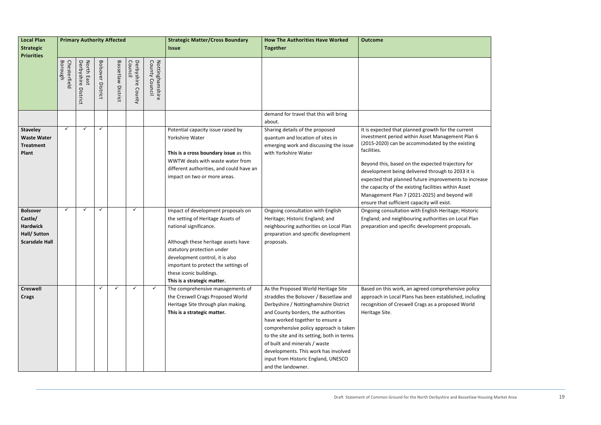| <b>Local Plan</b>                               | <b>Primary Authority Affected</b> |                                      |                          |                    |                                 |                                   | <b>Strategic Matter/Cross Boundary</b>                                                        | <b>How The Authorities Have Worked</b>                                                             | <b>Outcome</b>                                                                                                                                                                                                                                                     |  |
|-------------------------------------------------|-----------------------------------|--------------------------------------|--------------------------|--------------------|---------------------------------|-----------------------------------|-----------------------------------------------------------------------------------------------|----------------------------------------------------------------------------------------------------|--------------------------------------------------------------------------------------------------------------------------------------------------------------------------------------------------------------------------------------------------------------------|--|
| Strategic                                       |                                   |                                      |                          |                    |                                 |                                   | <b>Issue</b>                                                                                  | <b>Together</b>                                                                                    |                                                                                                                                                                                                                                                                    |  |
| <b>Priorities</b>                               |                                   |                                      |                          |                    |                                 |                                   |                                                                                               |                                                                                                    |                                                                                                                                                                                                                                                                    |  |
|                                                 | Borough<br>Chesterfield           | Derbyshire<br>North East<br>District | <b>Bolsover District</b> | Bassetlaw District | Derbyshire<br>Council<br>County | Nottinghamshire<br>County Council |                                                                                               |                                                                                                    |                                                                                                                                                                                                                                                                    |  |
|                                                 |                                   |                                      |                          |                    |                                 |                                   |                                                                                               | demand for travel that this will bring<br>about.                                                   |                                                                                                                                                                                                                                                                    |  |
| <b>Staveley</b>                                 | $\checkmark$                      | ✓                                    | $\checkmark$             |                    |                                 |                                   | Potential capacity issue raised by                                                            | Sharing details of the proposed                                                                    | It is expected that planned growth for the current                                                                                                                                                                                                                 |  |
| <b>Waste Water</b><br><b>Treatment</b><br>Plant |                                   |                                      |                          |                    |                                 |                                   | Yorkshire Water<br>This is a cross boundary issue as this<br>WWTW deals with waste water from | quantum and location of sites in<br>emerging work and discussing the issue<br>with Yorkshire Water | investment period within Asset Management Plan 6<br>(2015-2020) can be accommodated by the existing<br>facilities.<br>Beyond this, based on the expected trajectory for                                                                                            |  |
|                                                 |                                   |                                      |                          |                    |                                 |                                   | different authorities, and could have an<br>impact on two or more areas.                      |                                                                                                    | development being delivered through to 2033 it is<br>expected that planned future improvements to increase<br>the capacity of the existing facilities within Asset<br>Management Plan 7 (2021-2025) and beyond will<br>ensure that sufficient capacity will exist. |  |
| <b>Bolsover</b>                                 | $\checkmark$                      | ✓                                    | $\checkmark$             |                    | $\checkmark$                    |                                   | Impact of development proposals on                                                            | Ongoing consultation with English                                                                  | Ongoing consultation with English Heritage; Historic                                                                                                                                                                                                               |  |
| Castle/                                         |                                   |                                      |                          |                    |                                 |                                   | the setting of Heritage Assets of                                                             | Heritage; Historic England; and                                                                    | England; and neighbouring authorities on Local Plan                                                                                                                                                                                                                |  |
| <b>Hardwick</b>                                 |                                   |                                      |                          |                    |                                 |                                   | national significance.                                                                        | neighbouring authorities on Local Plan                                                             | preparation and specific development proposals.                                                                                                                                                                                                                    |  |
| Hall/ Sutton<br><b>Scarsdale Hall</b>           |                                   |                                      |                          |                    |                                 |                                   | Although these heritage assets have                                                           | preparation and specific development<br>proposals.                                                 |                                                                                                                                                                                                                                                                    |  |
|                                                 |                                   |                                      |                          |                    |                                 |                                   | statutory protection under                                                                    |                                                                                                    |                                                                                                                                                                                                                                                                    |  |
|                                                 |                                   |                                      |                          |                    |                                 |                                   | development control, it is also                                                               |                                                                                                    |                                                                                                                                                                                                                                                                    |  |
|                                                 |                                   |                                      |                          |                    |                                 |                                   | important to protect the settings of                                                          |                                                                                                    |                                                                                                                                                                                                                                                                    |  |
|                                                 |                                   |                                      |                          |                    |                                 |                                   | these iconic buildings.                                                                       |                                                                                                    |                                                                                                                                                                                                                                                                    |  |
|                                                 |                                   |                                      |                          |                    |                                 |                                   | This is a strategic matter.                                                                   |                                                                                                    |                                                                                                                                                                                                                                                                    |  |
| <b>Creswell</b>                                 |                                   |                                      |                          |                    |                                 | ✓                                 | The comprehensive managements of                                                              | As the Proposed World Heritage Site                                                                | Based on this work, an agreed comprehensive policy                                                                                                                                                                                                                 |  |
| <b>Crags</b>                                    |                                   |                                      |                          |                    |                                 |                                   | the Creswell Crags Proposed World                                                             | straddles the Bolsover / Bassetlaw and                                                             | approach in Local Plans has been established, including                                                                                                                                                                                                            |  |
|                                                 |                                   |                                      |                          |                    |                                 |                                   | Heritage Site through plan making.                                                            | Derbyshire / Nottinghamshire District                                                              | recognition of Creswell Crags as a proposed World                                                                                                                                                                                                                  |  |
|                                                 |                                   |                                      |                          |                    |                                 |                                   | This is a strategic matter.                                                                   | and County borders, the authorities                                                                | Heritage Site.                                                                                                                                                                                                                                                     |  |
|                                                 |                                   |                                      |                          |                    |                                 |                                   |                                                                                               | have worked together to ensure a                                                                   |                                                                                                                                                                                                                                                                    |  |
|                                                 |                                   |                                      |                          |                    |                                 |                                   |                                                                                               | comprehensive policy approach is taken                                                             |                                                                                                                                                                                                                                                                    |  |
|                                                 |                                   |                                      |                          |                    |                                 |                                   |                                                                                               | to the site and its setting, both in terms                                                         |                                                                                                                                                                                                                                                                    |  |
|                                                 |                                   |                                      |                          |                    |                                 |                                   |                                                                                               | of built and minerals / waste                                                                      |                                                                                                                                                                                                                                                                    |  |
|                                                 |                                   |                                      |                          |                    |                                 |                                   |                                                                                               | developments. This work has involved                                                               |                                                                                                                                                                                                                                                                    |  |
|                                                 |                                   |                                      |                          |                    |                                 |                                   |                                                                                               | input from Historic England, UNESCO                                                                |                                                                                                                                                                                                                                                                    |  |
|                                                 |                                   |                                      |                          |                    |                                 |                                   |                                                                                               | and the landowner.                                                                                 |                                                                                                                                                                                                                                                                    |  |

| e current        |
|------------------|
| nent Plan 6      |
| ie existing      |
|                  |
| ctory for        |
| 2033 it is       |
| ents to increase |
| in Asset         |
| yond will        |
|                  |
|                  |
| ge; Historic     |
| า Local Plan     |
| oposals.         |
|                  |
|                  |
|                  |
|                  |
|                  |
|                  |
|                  |
| nsive policy     |
| hed, including   |
| ed World         |
|                  |
|                  |
|                  |
|                  |
|                  |
|                  |
|                  |
|                  |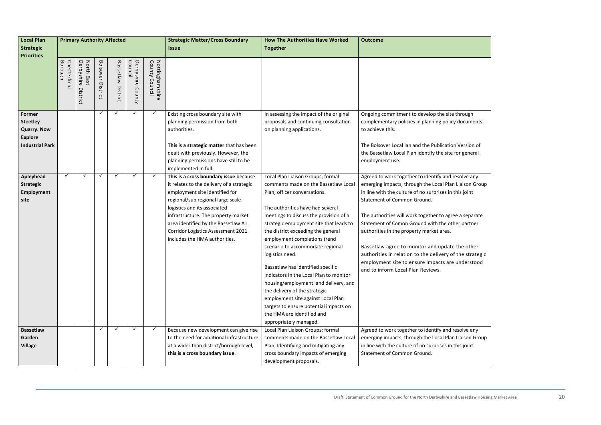| <b>Local Plan</b>                                                                           | <b>Primary Authority Affected</b> |                                      |                             |                    |                                 |                                              | <b>Strategic Matter/Cross Boundary</b>                                                                                                                                                                                                                                                                                                          | <b>How The Authorities Have Worked</b>                                                                                                                                                                                                                                                                                                                                                                                                                                                                                                                                                                                                                            | <b>Outcome</b>                                                                                                                                                                                                                                                                                                                                                                                                                                                                                                                                                                  |  |
|---------------------------------------------------------------------------------------------|-----------------------------------|--------------------------------------|-----------------------------|--------------------|---------------------------------|----------------------------------------------|-------------------------------------------------------------------------------------------------------------------------------------------------------------------------------------------------------------------------------------------------------------------------------------------------------------------------------------------------|-------------------------------------------------------------------------------------------------------------------------------------------------------------------------------------------------------------------------------------------------------------------------------------------------------------------------------------------------------------------------------------------------------------------------------------------------------------------------------------------------------------------------------------------------------------------------------------------------------------------------------------------------------------------|---------------------------------------------------------------------------------------------------------------------------------------------------------------------------------------------------------------------------------------------------------------------------------------------------------------------------------------------------------------------------------------------------------------------------------------------------------------------------------------------------------------------------------------------------------------------------------|--|
| <b>Strategic</b>                                                                            |                                   |                                      |                             |                    |                                 |                                              | <i><b>Issue</b></i>                                                                                                                                                                                                                                                                                                                             | <b>Together</b>                                                                                                                                                                                                                                                                                                                                                                                                                                                                                                                                                                                                                                                   |                                                                                                                                                                                                                                                                                                                                                                                                                                                                                                                                                                                 |  |
| <b>Priorities</b>                                                                           | Borough<br>Chesterfield           | Derbyshire<br>North East<br>District | <b>Bolsover</b><br>District | Bassetlaw District | Derbyshire<br>Council<br>County | Nottingh<br>County<br>Counci<br>Ρñ<br>mshire |                                                                                                                                                                                                                                                                                                                                                 |                                                                                                                                                                                                                                                                                                                                                                                                                                                                                                                                                                                                                                                                   |                                                                                                                                                                                                                                                                                                                                                                                                                                                                                                                                                                                 |  |
| Former<br><b>Steetley</b><br><b>Quarry. Now</b><br><b>Explore</b><br><b>Industrial Park</b> |                                   |                                      | $\checkmark$                | ✓                  | $\checkmark$                    | ✓                                            | Existing cross boundary site with<br>planning permission from both<br>authorities.<br>This is a strategic matter that has been<br>dealt with previously. However, the<br>planning permissions have still to be<br>implemented in full.                                                                                                          | In assessing the impact of the original<br>proposals and continuing consultation<br>on planning applications.                                                                                                                                                                                                                                                                                                                                                                                                                                                                                                                                                     | Ongoing commitment to develop the site through<br>complementary policies in planning policy documents<br>to achieve this.<br>The Bolsover Local lan and the Publication Version of<br>the Bassetlaw Local Plan identify the site for general<br>employment use.                                                                                                                                                                                                                                                                                                                 |  |
| Apleyhead<br><b>Strategic</b><br>Employment<br>site                                         | $\checkmark$                      | ✓                                    | ✓                           | ✓                  | $\checkmark$                    | $\checkmark$                                 | This is a cross boundary issue because<br>it relates to the delivery of a strategic<br>employment site identified for<br>regional/sub regional large scale<br>logistics and its associated<br>infrastructure. The property market<br>area identified by the Bassetlaw A1<br>Corridor Logistics Assessment 2021<br>includes the HMA authorities. | Local Plan Liaison Groups; formal<br>comments made on the Bassetlaw Local<br>Plan; officer conversations.<br>The authorities have had several<br>meetings to discuss the provision of a<br>strategic employment site that leads to<br>the district exceeding the general<br>employment completions trend<br>scenario to accommodate regional<br>logistics need.<br>Bassetlaw has identified specific<br>indicators in the Local Plan to monitor<br>housing/employment land delivery, and<br>the delivery of the strategic<br>employment site against Local Plan<br>targets to ensure potential impacts on<br>the HMA are identified and<br>appropriately managed. | Agreed to work together to identify and resolve any<br>emerging impacts, through the Local Plan Liaison Group<br>in line with the culture of no surprises in this joint<br><b>Statement of Common Ground.</b><br>The authorities will work together to agree a separate<br>Statement of Comon Ground with the other partner<br>authorities in the property market area.<br>Bassetlaw agree to monitor and update the other<br>authorities in relation to the delivery of the strategic<br>employment site to ensure impacts are understood<br>and to inform Local Plan Reviews. |  |
| <b>Bassetlaw</b><br>Garden<br><b>Village</b>                                                |                                   |                                      | ✓                           | $\checkmark$       | $\checkmark$                    | $\checkmark$                                 | Because new development can give rise<br>to the need for additional infrastructure<br>at a wider than district/borough level,<br>this is a cross boundary issue.                                                                                                                                                                                | Local Plan Liaison Groups; formal<br>comments made on the Bassetlaw Local<br>Plan; Identifying and mitigating any<br>cross boundary impacts of emerging<br>development proposals.                                                                                                                                                                                                                                                                                                                                                                                                                                                                                 | Agreed to work together to identify and resolve any<br>emerging impacts, through the Local Plan Liaison Group<br>in line with the culture of no surprises in this joint<br>Statement of Common Ground.                                                                                                                                                                                                                                                                                                                                                                          |  |

| through                        |
|--------------------------------|
| y documents                    |
|                                |
| n Version of                   |
| for general                    |
|                                |
| resolve any                    |
| า Liaison Group                |
| this joint                     |
|                                |
| ee a separate<br>her partner   |
|                                |
|                                |
| e the other<br>f the strategic |
| e understood                   |
|                                |
|                                |
|                                |
|                                |
|                                |
| resolve any                    |
| า Liaison Group                |
| this joint                     |
|                                |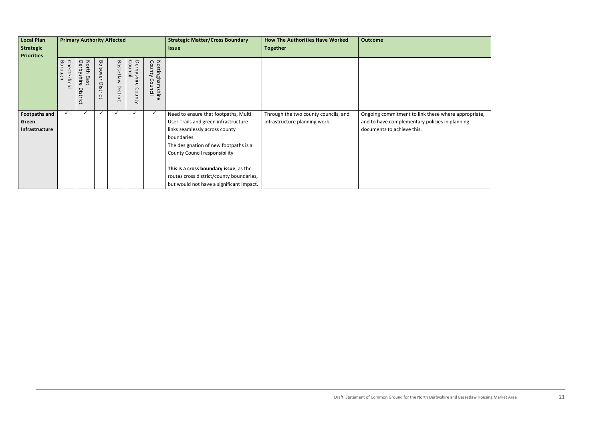| <b>Local Plan</b><br><b>Strategic</b><br><b>Priorities</b> |                         | <b>Primary Authority Affected</b>                        |                                    |                                  |                               |                                   | <b>Strategic Matter/Cross Boundary</b><br><b>Issue</b>                                                                                                                                                                                                                                                                                           | <b>How The Authorities Have Worked</b><br><b>Together</b>             | <b>Outcome</b>                                                                                                   |
|------------------------------------------------------------|-------------------------|----------------------------------------------------------|------------------------------------|----------------------------------|-------------------------------|-----------------------------------|--------------------------------------------------------------------------------------------------------------------------------------------------------------------------------------------------------------------------------------------------------------------------------------------------------------------------------------------------|-----------------------------------------------------------------------|------------------------------------------------------------------------------------------------------------------|
|                                                            | Borough<br>Chesterfield | Derbysl<br>North<br>East<br>$\sigma$<br>므.<br>S<br>trict | <b>Bolsover</b><br><b>District</b> | <b>Bassetlaw</b><br>Dist<br>rict | Derbyshire<br>Counc<br>County | Nottinghamshire<br>County Council |                                                                                                                                                                                                                                                                                                                                                  |                                                                       |                                                                                                                  |
| <b>Footpaths and</b><br>Green<br>Infrastructure            | ✓                       |                                                          | ✓                                  |                                  |                               | ✓                                 | Need to ensure that footpaths, Multi<br>User Trails and green infrastructure<br>links seamlessly across county<br>boundaries.<br>The designation of new footpaths is a<br><b>County Council responsibility</b><br>This is a cross boundary issue, as the<br>routes cross district/county boundaries,<br>but would not have a significant impact. | Through the two county councils, and<br>infrastructure planning work. | Ongoing commitment to link these where<br>and to have complementary policies in pl<br>documents to achieve this. |